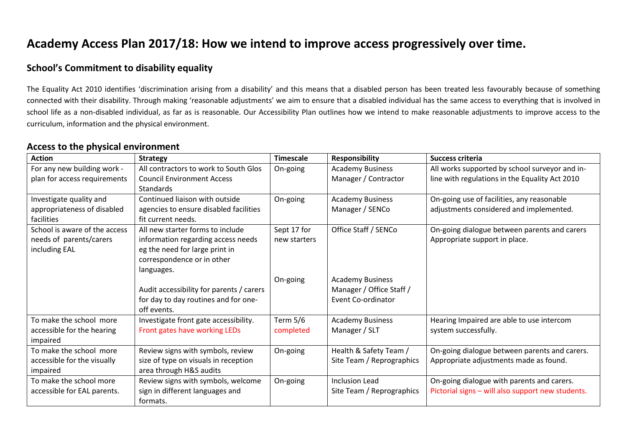# **Academy Access Plan 2017/18: How we intend to improve access progressively over time.**

### **School's Commitment to disability equality**

The Equality Act 2010 identifies 'discrimination arising from a disability' and this means that a disabled person has been treated less favourably because of something connected with their disability. Through making 'reasonable adjustments' we aim to ensure that a disabled individual has the same access to everything that is involved in school life as a non-disabled individual, as far as is reasonable. Our Accessibility Plan outlines how we intend to make reasonable adjustments to improve access to the curriculum, information and the physical environment.

#### **Access to the physical environment**

| <b>Action</b>                 | <b>Strategy</b>                          | <b>Timescale</b> | <b>Responsibility</b>     | <b>Success criteria</b>                           |
|-------------------------------|------------------------------------------|------------------|---------------------------|---------------------------------------------------|
| For any new building work -   | All contractors to work to South Glos    | On-going         | <b>Academy Business</b>   | All works supported by school surveyor and in-    |
| plan for access requirements  | <b>Council Environment Access</b>        |                  | Manager / Contractor      | line with regulations in the Equality Act 2010    |
|                               | Standards                                |                  |                           |                                                   |
| Investigate quality and       | Continued liaison with outside           | On-going         | <b>Academy Business</b>   | On-going use of facilities, any reasonable        |
| appropriateness of disabled   | agencies to ensure disabled facilities   |                  | Manager / SENCo           | adjustments considered and implemented.           |
| facilities                    | fit current needs.                       |                  |                           |                                                   |
| School is aware of the access | All new starter forms to include         | Sept 17 for      | Office Staff / SENCo      | On-going dialogue between parents and carers      |
| needs of parents/carers       | information regarding access needs       | new starters     |                           | Appropriate support in place.                     |
| including EAL                 | eg the need for large print in           |                  |                           |                                                   |
|                               | correspondence or in other               |                  |                           |                                                   |
|                               | languages.                               |                  |                           |                                                   |
|                               |                                          | On-going         | <b>Academy Business</b>   |                                                   |
|                               | Audit accessibility for parents / carers |                  | Manager / Office Staff /  |                                                   |
|                               | for day to day routines and for one-     |                  | Event Co-ordinator        |                                                   |
|                               | off events.                              |                  |                           |                                                   |
| To make the school more       | Investigate front gate accessibility.    | Term 5/6         | <b>Academy Business</b>   | Hearing Impaired are able to use intercom         |
| accessible for the hearing    | Front gates have working LEDs            | completed        | Manager / SLT             | system successfully.                              |
| impaired                      |                                          |                  |                           |                                                   |
| To make the school more       | Review signs with symbols, review        | On-going         | Health & Safety Team /    | On-going dialogue between parents and carers.     |
| accessible for the visually   | size of type on visuals in reception     |                  | Site Team / Reprographics | Appropriate adjustments made as found.            |
| impaired                      | area through H&S audits                  |                  |                           |                                                   |
| To make the school more       | Review signs with symbols, welcome       | On-going         | <b>Inclusion Lead</b>     | On-going dialogue with parents and carers.        |
| accessible for EAL parents.   | sign in different languages and          |                  | Site Team / Reprographics | Pictorial signs - will also support new students. |
|                               | formats.                                 |                  |                           |                                                   |